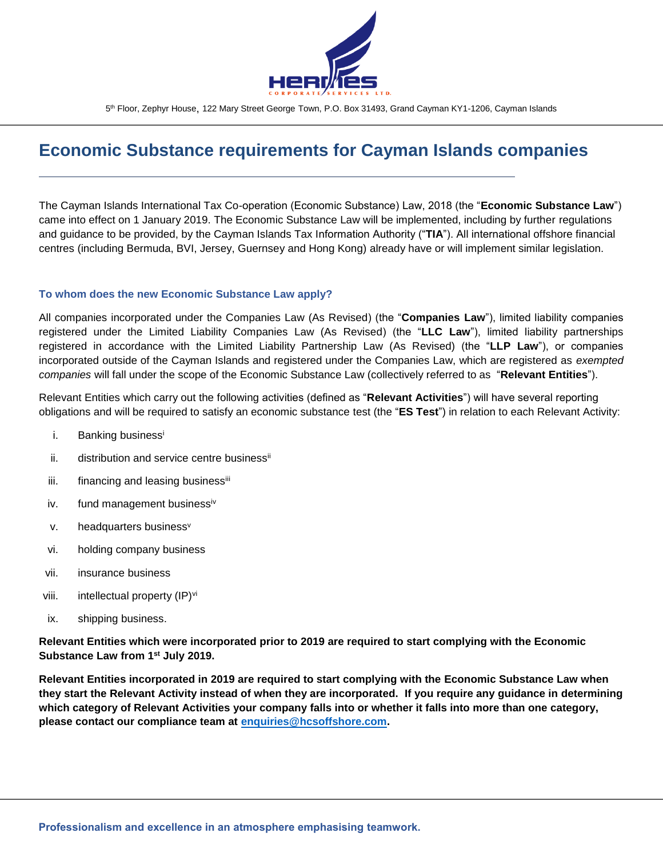

# **Economic Substance requirements for Cayman Islands companies**

The Cayman Islands International Tax Co-operation (Economic Substance) Law, 2018 (the "**Economic Substance Law**") came into effect on 1 January 2019. The Economic Substance Law will be implemented, including by further regulations and guidance to be provided, by the Cayman Islands Tax Information Authority ("**TIA**"). All international offshore financial centres (including Bermuda, BVI, Jersey, Guernsey and Hong Kong) already have or will implement similar legislation.

#### **To whom does the new Economic Substance Law apply?**

All companies incorporated under the Companies Law (As Revised) (the "**Companies Law**"), limited liability companies registered under the Limited Liability Companies Law (As Revised) (the "**LLC Law**"), limited liability partnerships registered in accordance with the Limited Liability Partnership Law (As Revised) (the "**LLP Law**"), or companies incorporated outside of the Cayman Islands and registered under the Companies Law, which are registered as *exempted companies* will fall under the scope of the Economic Substance Law (collectively referred to as "**Relevant Entities**").

Relevant Entities which carry out the following activities (defined as "**Relevant Activities**") will have several reporting obligations and will be required to satisfy an economic substance test (the "**ES Test**") in relation to each Relevant Activity:

- i. Banking businessi
- ii. distribution and service centre business<sup>ii</sup>
- iii. financing and leasing businessiii
- iv. fund management businessiv
- v. headquarters business<sup>v</sup>
- vi. holding company business
- vii. insurance business
- viii. intellectual property (IP)<sup>vi</sup>
- ix. shipping business.

**Relevant Entities which were incorporated prior to 2019 are required to start complying with the Economic Substance Law from 1st July 2019.**

**Relevant Entities incorporated in 2019 are required to start complying with the Economic Substance Law when they start the Relevant Activity instead of when they are incorporated. If you require any guidance in determining which category of Relevant Activities your company falls into or whether it falls into more than one category, please contact our compliance team at [enquiries@hcsoffshore.com.](mailto:enquiries@hcsoffshore.com)**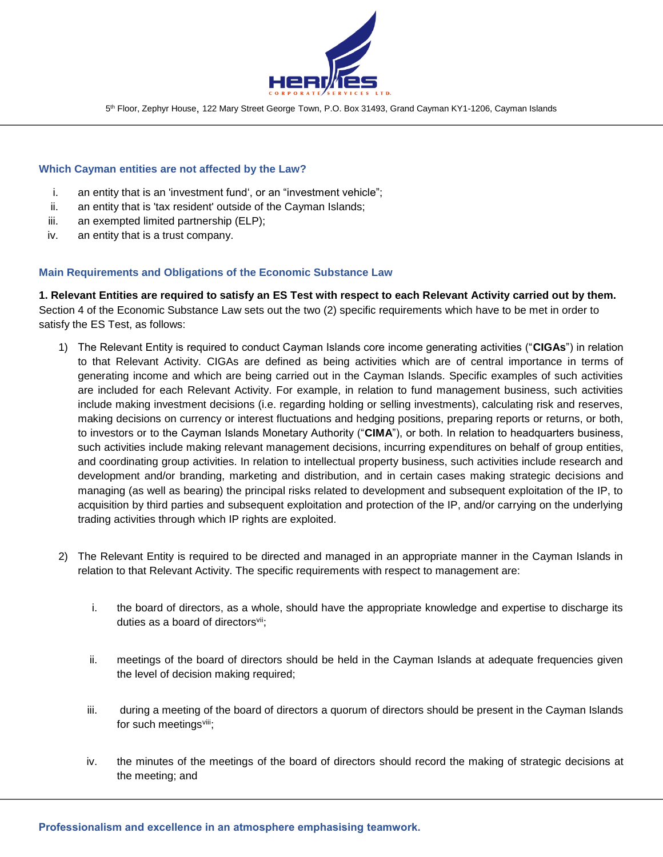

## **Which Cayman entities are not affected by the Law?**

- i. an entity that is an 'investment fund', or an "investment vehicle";
- ii. an entity that is 'tax resident' outside of the Cayman Islands;
- iii. an exempted limited partnership (ELP);
- iv. an entity that is a trust company.

#### **Main Requirements and Obligations of the Economic Substance Law**

**1. Relevant Entities are required to satisfy an ES Test with respect to each Relevant Activity carried out by them.** Section 4 of the Economic Substance Law sets out the two (2) specific requirements which have to be met in order to satisfy the ES Test, as follows:

- 1) The Relevant Entity is required to conduct Cayman Islands core income generating activities ("**CIGAs**") in relation to that Relevant Activity. CIGAs are defined as being activities which are of central importance in terms of generating income and which are being carried out in the Cayman Islands. Specific examples of such activities are included for each Relevant Activity. For example, in relation to fund management business, such activities include making investment decisions (i.e. regarding holding or selling investments), calculating risk and reserves, making decisions on currency or interest fluctuations and hedging positions, preparing reports or returns, or both, to investors or to the Cayman Islands Monetary Authority ("**CIMA**"), or both. In relation to headquarters business, such activities include making relevant management decisions, incurring expenditures on behalf of group entities, and coordinating group activities. In relation to intellectual property business, such activities include research and development and/or branding, marketing and distribution, and in certain cases making strategic decisions and managing (as well as bearing) the principal risks related to development and subsequent exploitation of the IP, to acquisition by third parties and subsequent exploitation and protection of the IP, and/or carrying on the underlying trading activities through which IP rights are exploited.
- 2) The Relevant Entity is required to be directed and managed in an appropriate manner in the Cayman Islands in relation to that Relevant Activity. The specific requirements with respect to management are:
	- i. the board of directors, as a whole, should have the appropriate knowledge and expertise to discharge its duties as a board of directors<sup>vii</sup>;
	- ii. meetings of the board of directors should be held in the Cayman Islands at adequate frequencies given the level of decision making required;
	- iii. during a meeting of the board of directors a quorum of directors should be present in the Cayman Islands for such meetingsviii;
	- iv. the minutes of the meetings of the board of directors should record the making of strategic decisions at the meeting; and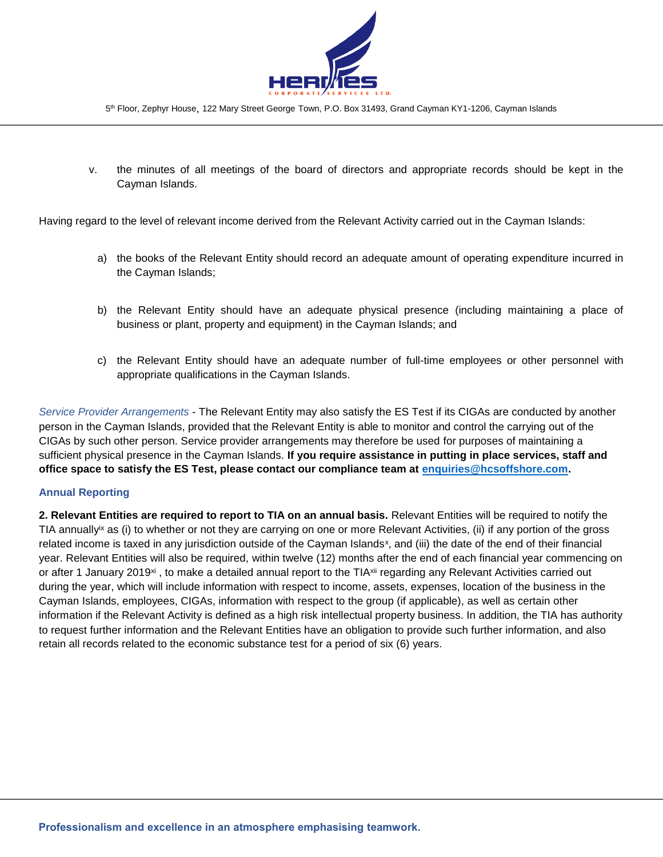

v. the minutes of all meetings of the board of directors and appropriate records should be kept in the Cayman Islands.

Having regard to the level of relevant income derived from the Relevant Activity carried out in the Cayman Islands:

- a) the books of the Relevant Entity should record an adequate amount of operating expenditure incurred in the Cayman Islands;
- b) the Relevant Entity should have an adequate physical presence (including maintaining a place of business or plant, property and equipment) in the Cayman Islands; and
- c) the Relevant Entity should have an adequate number of full-time employees or other personnel with appropriate qualifications in the Cayman Islands.

*Service Provider Arrangements* - The Relevant Entity may also satisfy the ES Test if its CIGAs are conducted by another person in the Cayman Islands, provided that the Relevant Entity is able to monitor and control the carrying out of the CIGAs by such other person. Service provider arrangements may therefore be used for purposes of maintaining a sufficient physical presence in the Cayman Islands. **If you require assistance in putting in place services, staff and office space to satisfy the ES Test, please contact our compliance team at [enquiries@hcsoffshore.com.](mailto:enquiries@hcsoffshore.com)** 

# **Annual Reporting**

**2. Relevant Entities are required to report to TIA on an annual basis.** Relevant Entities will be required to notify the TIA annually<sup>ix</sup> as (i) to whether or not they are carrying on one or more Relevant Activities, (ii) if any portion of the gross related income is taxed in any jurisdiction outside of the Cayman Islands<sup>x</sup>, and (iii) the date of the end of their financial year. Relevant Entities will also be required, within twelve (12) months after the end of each financial year commencing on or after 1 January 2019<sup>xi</sup>, to make a detailed annual report to the TIA<sup>xii</sup> regarding any Relevant Activities carried out during the year, which will include information with respect to income, assets, expenses, location of the business in the Cayman Islands, employees, CIGAs, information with respect to the group (if applicable), as well as certain other information if the Relevant Activity is defined as a high risk intellectual property business. In addition, the TIA has authority to request further information and the Relevant Entities have an obligation to provide such further information, and also retain all records related to the economic substance test for a period of six (6) years.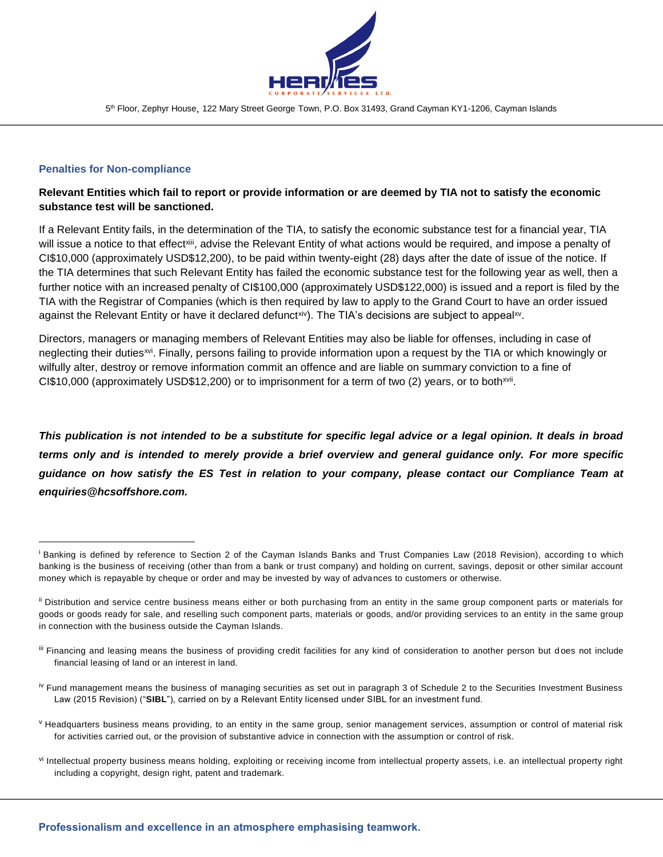

## **Penalties for Non-compliance**

l

# **Relevant Entities which fail to report or provide information or are deemed by TIA not to satisfy the economic substance test will be sanctioned.**

If a Relevant Entity fails, in the determination of the TIA, to satisfy the economic substance test for a financial year, TIA will issue a notice to that effect<sup>xiii</sup>, advise the Relevant Entity of what actions would be required, and impose a penalty of CI\$10,000 (approximately USD\$12,200), to be paid within twenty-eight (28) days after the date of issue of the notice. If the TIA determines that such Relevant Entity has failed the economic substance test for the following year as well, then a further notice with an increased penalty of CI\$100,000 (approximately USD\$122,000) is issued and a report is filed by the TIA with the Registrar of Companies (which is then required by law to apply to the Grand Court to have an order issued against the Relevant Entity or have it declared defunct<sup>xiv</sup>). The TIA's decisions are subject to appeal<sup>xv</sup>.

Directors, managers or managing members of Relevant Entities may also be liable for offenses, including in case of neglecting their duties<sup>xvi</sup>. Finally, persons failing to provide information upon a request by the TIA or which knowingly or wilfully alter, destroy or remove information commit an offence and are liable on summary conviction to a fine of CI\$10,000 (approximately USD\$12,200) or to imprisonment for a term of two (2) years, or to both<sup>xvii</sup>.

*This publication is not intended to be a substitute for specific legal advice or a legal opinion. It deals in broad terms only and is intended to merely provide a brief overview and general guidance only. For more specific guidance on how satisfy the ES Test in relation to your company, please contact our Compliance Team at enquiries@hcsoffshore.com.*

vi Intellectual property business means holding, exploiting or receiving income from intellectual property assets, i.e. an intellectual property right including a copyright, design right, patent and trademark.

<sup>&</sup>lt;sup>i</sup> Banking is defined by reference to Section 2 of the Cayman Islands Banks and Trust Companies Law (2018 Revision), according to which banking is the business of receiving (other than from a bank or trust company) and holding on current, savings, deposit or other similar account money which is repayable by cheque or order and may be invested by way of advances to customers or otherwise.

ii Distribution and service centre business means either or both purchasing from an entity in the same group component parts or materials for goods or goods ready for sale, and reselling such component parts, materials or goods, and/or providing services to an entity in the same group in connection with the business outside the Cayman Islands.

III Financing and leasing means the business of providing credit facilities for any kind of consideration to another person but does not include financial leasing of land or an interest in land.

<sup>&</sup>lt;sup>iv</sup> Fund management means the business of managing securities as set out in paragraph 3 of Schedule 2 to the Securities Investment Business Law (2015 Revision) ("**SIBL**"), carried on by a Relevant Entity licensed under SIBL for an investment fund.

<sup>&</sup>lt;sup>v</sup> Headquarters business means providing, to an entity in the same group, senior management services, assumption or control of material risk for activities carried out, or the provision of substantive advice in connection with the assumption or control of risk.